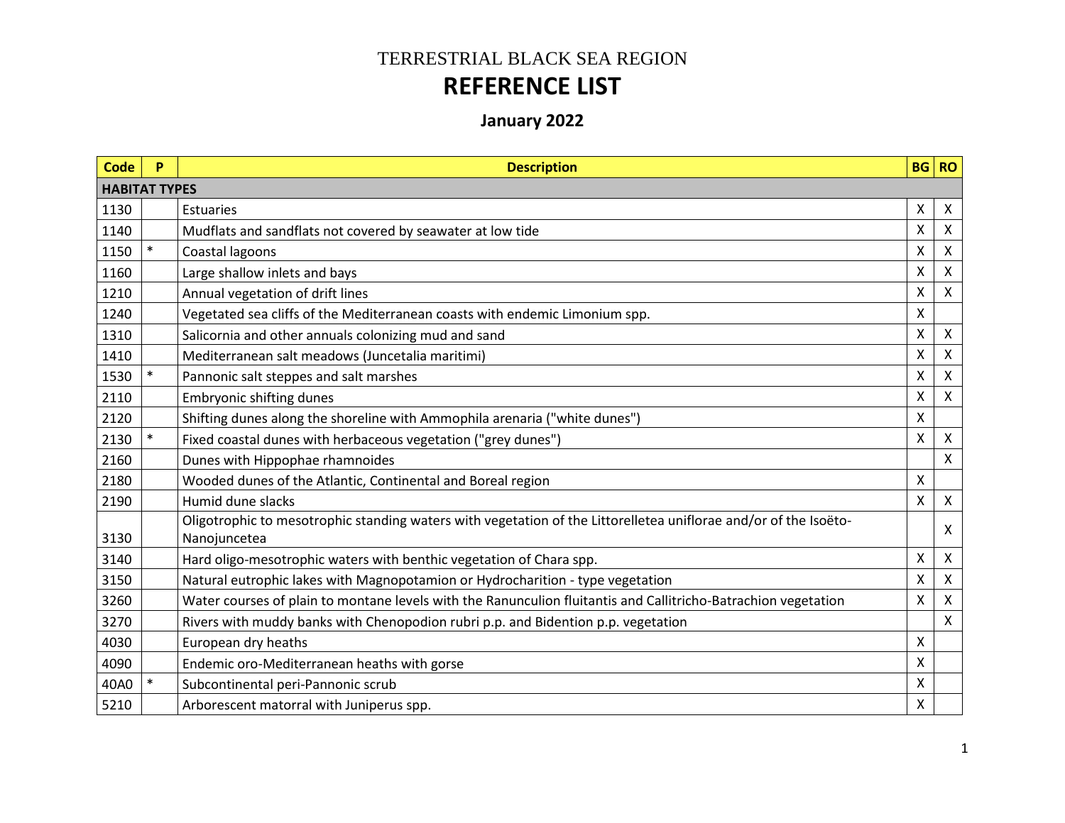## TERRESTRIAL BLACK SEA REGION **REFERENCE LIST**

## **January 2022**

| <b>Code</b> | P                    | <b>Description</b>                                                                                               |              | BG RO                     |  |  |
|-------------|----------------------|------------------------------------------------------------------------------------------------------------------|--------------|---------------------------|--|--|
|             | <b>HABITAT TYPES</b> |                                                                                                                  |              |                           |  |  |
| 1130        |                      | <b>Estuaries</b>                                                                                                 | X            | X                         |  |  |
| 1140        |                      | Mudflats and sandflats not covered by seawater at low tide                                                       | X            | Χ                         |  |  |
| 1150        |                      | Coastal lagoons                                                                                                  | Χ            | Χ                         |  |  |
| 1160        |                      | Large shallow inlets and bays                                                                                    | X            | X                         |  |  |
| 1210        |                      | Annual vegetation of drift lines                                                                                 | X            | X                         |  |  |
| 1240        |                      | Vegetated sea cliffs of the Mediterranean coasts with endemic Limonium spp.                                      | Χ            |                           |  |  |
| 1310        |                      | Salicornia and other annuals colonizing mud and sand                                                             | X            | $\pmb{\times}$            |  |  |
| 1410        |                      | Mediterranean salt meadows (Juncetalia maritimi)                                                                 | Χ            | Χ                         |  |  |
| 1530        |                      | Pannonic salt steppes and salt marshes                                                                           | Χ            | $\boldsymbol{\mathsf{X}}$ |  |  |
| 2110        |                      | <b>Embryonic shifting dunes</b>                                                                                  | X            | $\boldsymbol{\mathsf{X}}$ |  |  |
| 2120        |                      | Shifting dunes along the shoreline with Ammophila arenaria ("white dunes")                                       | X            |                           |  |  |
| 2130        |                      | Fixed coastal dunes with herbaceous vegetation ("grey dunes")                                                    | X            | $\boldsymbol{\mathsf{X}}$ |  |  |
| 2160        |                      | Dunes with Hippophae rhamnoides                                                                                  |              | Χ                         |  |  |
| 2180        |                      | Wooded dunes of the Atlantic, Continental and Boreal region                                                      | $\mathsf{X}$ |                           |  |  |
| 2190        |                      | Humid dune slacks                                                                                                | X            | $\mathsf{X}$              |  |  |
|             |                      | Oligotrophic to mesotrophic standing waters with vegetation of the Littorelletea uniflorae and/or of the Isoëto- |              | x                         |  |  |
| 3130        |                      | Nanojuncetea                                                                                                     |              |                           |  |  |
| 3140        |                      | Hard oligo-mesotrophic waters with benthic vegetation of Chara spp.                                              | X            | $\boldsymbol{\mathsf{X}}$ |  |  |
| 3150        |                      | Natural eutrophic lakes with Magnopotamion or Hydrocharition - type vegetation                                   | Χ            | X                         |  |  |
| 3260        |                      | Water courses of plain to montane levels with the Ranunculion fluitantis and Callitricho-Batrachion vegetation   | X            | X                         |  |  |
| 3270        |                      | Rivers with muddy banks with Chenopodion rubri p.p. and Bidention p.p. vegetation                                |              | x                         |  |  |
| 4030        |                      | European dry heaths                                                                                              | X            |                           |  |  |
| 4090        |                      | Endemic oro-Mediterranean heaths with gorse                                                                      | X            |                           |  |  |
| 40A0        |                      | Subcontinental peri-Pannonic scrub                                                                               | X            |                           |  |  |
| 5210        |                      | Arborescent matorral with Juniperus spp.                                                                         | X            |                           |  |  |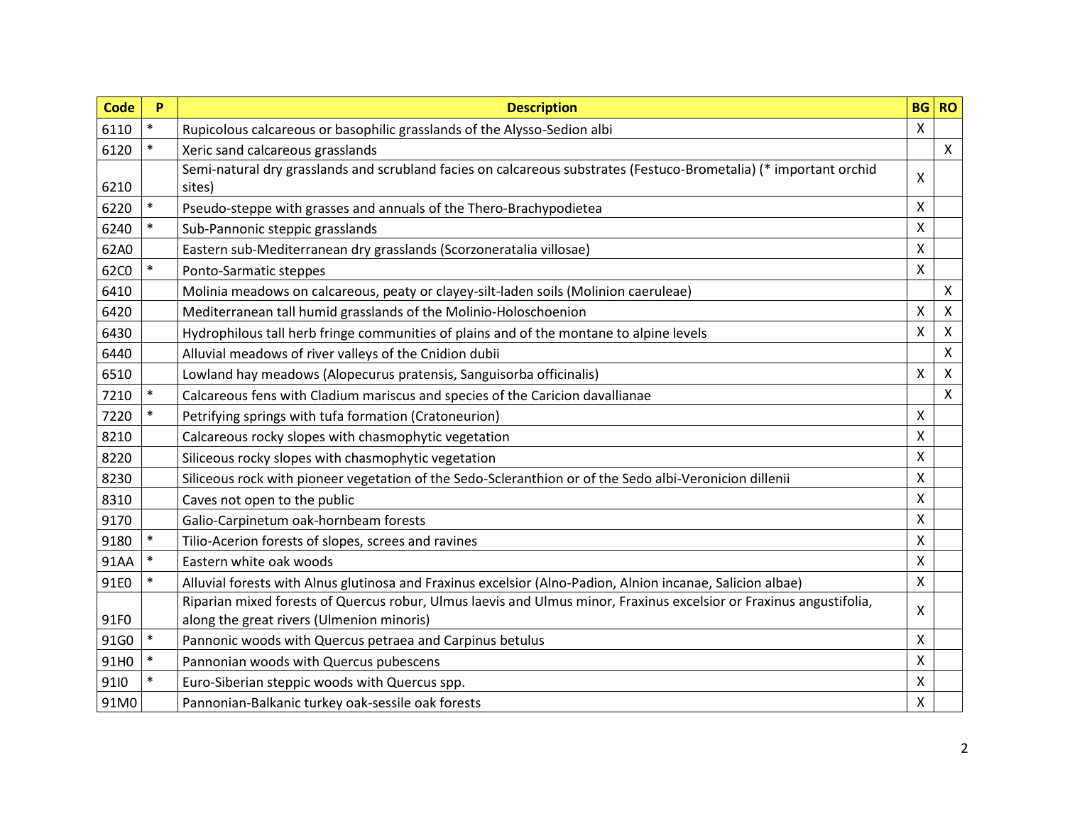| <b>Code</b> | P      | <b>Description</b>                                                                                                  | <b>BG</b> | <b>RO</b>                 |
|-------------|--------|---------------------------------------------------------------------------------------------------------------------|-----------|---------------------------|
| 6110        | $\ast$ | Rupicolous calcareous or basophilic grasslands of the Alysso-Sedion albi                                            | X         |                           |
| 6120        | $\ast$ | Xeric sand calcareous grasslands                                                                                    |           | $\mathsf{X}$              |
|             |        | Semi-natural dry grasslands and scrubland facies on calcareous substrates (Festuco-Brometalia) (* important orchid  | X         |                           |
| 6210        |        | sites)                                                                                                              |           |                           |
| 6220        |        | Pseudo-steppe with grasses and annuals of the Thero-Brachypodietea                                                  | X         |                           |
| 6240        |        | Sub-Pannonic steppic grasslands                                                                                     | X         |                           |
| 62A0        |        | Eastern sub-Mediterranean dry grasslands (Scorzoneratalia villosae)                                                 | X         |                           |
| 62C0        |        | Ponto-Sarmatic steppes                                                                                              | X         |                           |
| 6410        |        | Molinia meadows on calcareous, peaty or clayey-silt-laden soils (Molinion caeruleae)                                |           | $\pmb{\times}$            |
| 6420        |        | Mediterranean tall humid grasslands of the Molinio-Holoschoenion                                                    | X         | $\pmb{\times}$            |
| 6430        |        | Hydrophilous tall herb fringe communities of plains and of the montane to alpine levels                             | X         | $\boldsymbol{\mathsf{X}}$ |
| 6440        |        | Alluvial meadows of river valleys of the Cnidion dubii                                                              |           | $\pmb{\times}$            |
| 6510        |        | Lowland hay meadows (Alopecurus pratensis, Sanguisorba officinalis)                                                 | X         | $\boldsymbol{\mathsf{X}}$ |
| 7210        |        | Calcareous fens with Cladium mariscus and species of the Caricion davallianae                                       |           | $\boldsymbol{\mathsf{X}}$ |
| 7220        | $\ast$ | Petrifying springs with tufa formation (Cratoneurion)                                                               | X         |                           |
| 8210        |        | Calcareous rocky slopes with chasmophytic vegetation                                                                | X         |                           |
| 8220        |        | Siliceous rocky slopes with chasmophytic vegetation                                                                 | X         |                           |
| 8230        |        | Siliceous rock with pioneer vegetation of the Sedo-Scleranthion or of the Sedo albi-Veronicion dillenii             | X         |                           |
| 8310        |        | Caves not open to the public                                                                                        | X         |                           |
| 9170        |        | Galio-Carpinetum oak-hornbeam forests                                                                               | X         |                           |
| 9180        |        | Tilio-Acerion forests of slopes, screes and ravines                                                                 | X         |                           |
| 91AA        |        | Eastern white oak woods                                                                                             | X         |                           |
| 91E0        |        | Alluvial forests with Alnus glutinosa and Fraxinus excelsior (Alno-Padion, Alnion incanae, Salicion albae)          | X         |                           |
|             |        | Riparian mixed forests of Quercus robur, Ulmus laevis and Ulmus minor, Fraxinus excelsior or Fraxinus angustifolia, | X         |                           |
| 91F0        |        | along the great rivers (Ulmenion minoris)                                                                           |           |                           |
| 91G0        |        | Pannonic woods with Quercus petraea and Carpinus betulus                                                            | X         |                           |
| 91H0        |        | Pannonian woods with Quercus pubescens                                                                              | X         |                           |
| 9110        |        | Euro-Siberian steppic woods with Quercus spp.                                                                       | X         |                           |
| 91M0        |        | Pannonian-Balkanic turkey oak-sessile oak forests                                                                   | X         |                           |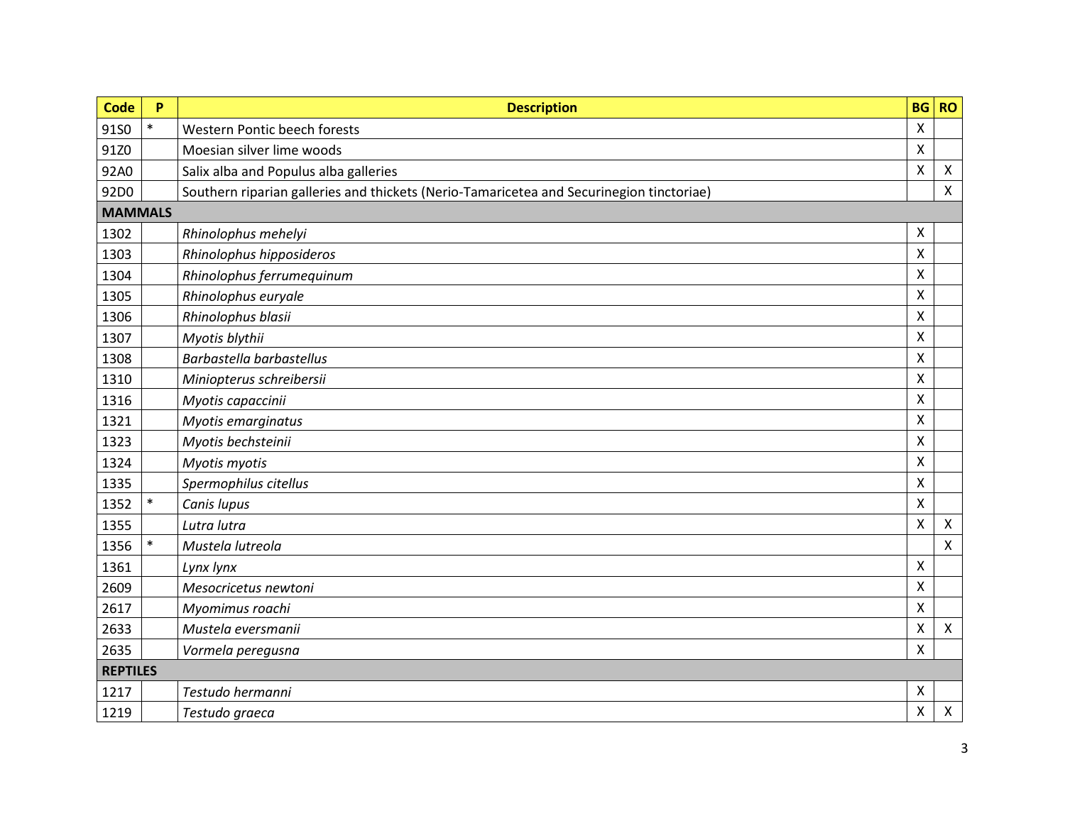| <b>Code</b>    | P               | <b>Description</b>                                                                       | <b>BG</b>                 | <b>RO</b>                 |  |  |
|----------------|-----------------|------------------------------------------------------------------------------------------|---------------------------|---------------------------|--|--|
| 91S0           | $\ast$          | Western Pontic beech forests                                                             | X                         |                           |  |  |
| 91Z0           |                 | Moesian silver lime woods                                                                | $\pmb{\times}$            |                           |  |  |
| 92A0           |                 | Salix alba and Populus alba galleries                                                    | $\boldsymbol{\mathsf{X}}$ | $\boldsymbol{\mathsf{X}}$ |  |  |
| 92D0           |                 | Southern riparian galleries and thickets (Nerio-Tamaricetea and Securinegion tinctoriae) |                           | $\mathsf{X}$              |  |  |
| <b>MAMMALS</b> |                 |                                                                                          |                           |                           |  |  |
| 1302           |                 | Rhinolophus mehelyi                                                                      | $\boldsymbol{\mathsf{X}}$ |                           |  |  |
| 1303           |                 | Rhinolophus hipposideros                                                                 | $\mathsf{x}$              |                           |  |  |
| 1304           |                 | Rhinolophus ferrumequinum                                                                | X                         |                           |  |  |
| 1305           |                 | Rhinolophus euryale                                                                      | $\mathsf{X}$              |                           |  |  |
| 1306           |                 | Rhinolophus blasii                                                                       | X                         |                           |  |  |
| 1307           |                 | Myotis blythii                                                                           | $\mathsf{X}$              |                           |  |  |
| 1308           |                 | Barbastella barbastellus                                                                 | X                         |                           |  |  |
| 1310           |                 | Miniopterus schreibersii                                                                 | X                         |                           |  |  |
| 1316           |                 | Myotis capaccinii                                                                        | X                         |                           |  |  |
| 1321           |                 | Myotis emarginatus                                                                       | $\mathsf{X}$              |                           |  |  |
| 1323           |                 | Myotis bechsteinii                                                                       | X                         |                           |  |  |
| 1324           |                 | Myotis myotis                                                                            | X                         |                           |  |  |
| 1335           |                 | Spermophilus citellus                                                                    | $\pmb{\times}$            |                           |  |  |
| 1352           | $\ast$          | Canis lupus                                                                              | $\boldsymbol{\mathsf{X}}$ |                           |  |  |
| 1355           |                 | Lutra lutra                                                                              | $\boldsymbol{\mathsf{X}}$ | $\boldsymbol{\mathsf{X}}$ |  |  |
| 1356           |                 | Mustela lutreola                                                                         |                           | $\pmb{\times}$            |  |  |
| 1361           |                 | Lynx lynx                                                                                | X                         |                           |  |  |
| 2609           |                 | Mesocricetus newtoni                                                                     | $\pmb{\times}$            |                           |  |  |
| 2617           |                 | Myomimus roachi                                                                          | $\mathsf{X}$              |                           |  |  |
| 2633           |                 | Mustela eversmanii                                                                       | $\pmb{\times}$            | $\mathsf{X}$              |  |  |
| 2635           |                 | Vormela peregusna                                                                        | $\boldsymbol{\mathsf{X}}$ |                           |  |  |
|                | <b>REPTILES</b> |                                                                                          |                           |                           |  |  |
| 1217           |                 | Testudo hermanni                                                                         | $\boldsymbol{\mathsf{X}}$ |                           |  |  |
| 1219           |                 | Testudo graeca                                                                           | $\pmb{\times}$            | $\pmb{\times}$            |  |  |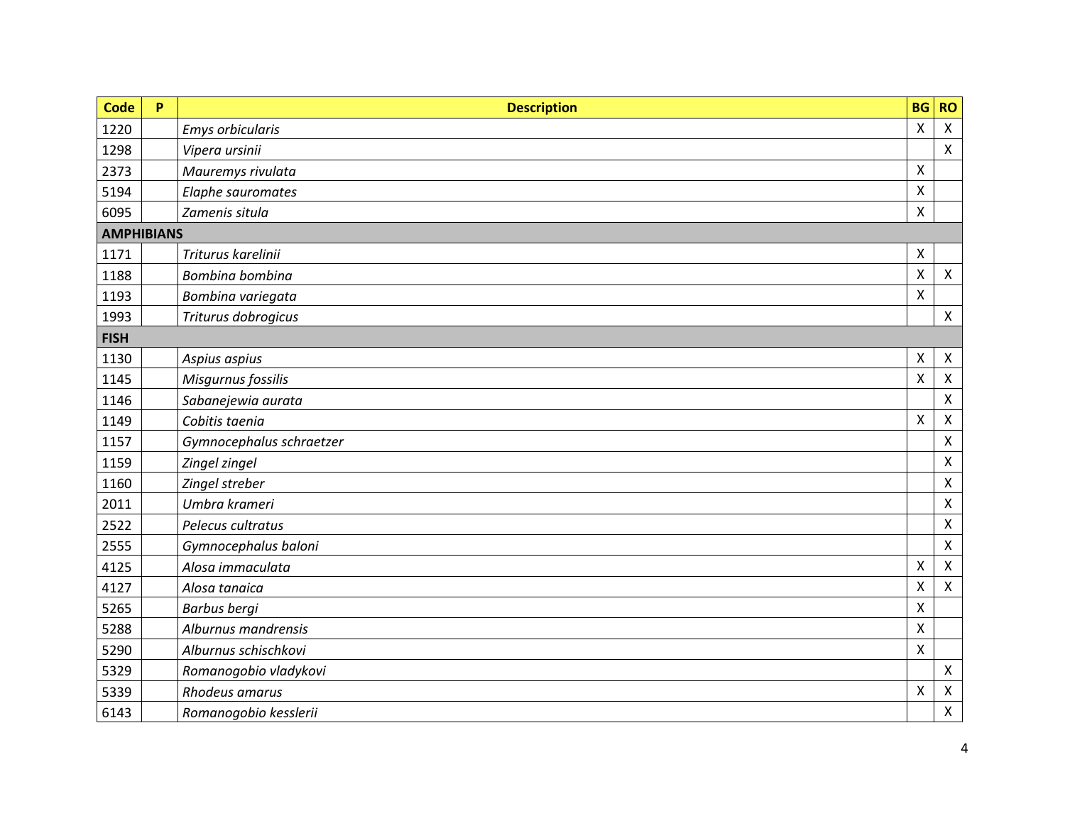| Code              | P | <b>Description</b>       | <b>BG</b>                 | <b>RO</b>                 |
|-------------------|---|--------------------------|---------------------------|---------------------------|
| 1220              |   | <b>Emys orbicularis</b>  | $\pmb{\times}$            | $\boldsymbol{\mathsf{x}}$ |
| 1298              |   | Vipera ursinii           |                           | $\pmb{\times}$            |
| 2373              |   | Mauremys rivulata        | $\pmb{\mathsf{X}}$        |                           |
| 5194              |   | Elaphe sauromates        | X                         |                           |
| 6095              |   | Zamenis situla           | $\pmb{\mathsf{X}}$        |                           |
| <b>AMPHIBIANS</b> |   |                          |                           |                           |
| 1171              |   | Triturus karelinii       | $\boldsymbol{\mathsf{X}}$ |                           |
| 1188              |   | Bombina bombina          | $\pmb{\mathsf{X}}$        | $\pmb{\times}$            |
| 1193              |   | Bombina variegata        | $\mathsf{X}$              |                           |
| 1993              |   | Triturus dobrogicus      |                           | $\mathsf{X}$              |
| <b>FISH</b>       |   |                          |                           |                           |
| 1130              |   | Aspius aspius            | X                         | $\boldsymbol{\mathsf{X}}$ |
| 1145              |   | Misgurnus fossilis       | $\boldsymbol{\mathsf{X}}$ | $\mathsf{X}$              |
| 1146              |   | Sabanejewia aurata       |                           | $\pmb{\times}$            |
| 1149              |   | Cobitis taenia           | $\boldsymbol{\mathsf{X}}$ | $\pmb{\times}$            |
| 1157              |   | Gymnocephalus schraetzer |                           | $\pmb{\mathsf{X}}$        |
| 1159              |   | Zingel zingel            |                           | $\pmb{\times}$            |
| 1160              |   | Zingel streber           |                           | Χ                         |
| 2011              |   | Umbra krameri            |                           | $\pmb{\times}$            |
| 2522              |   | Pelecus cultratus        |                           | $\mathsf{X}$              |
| 2555              |   | Gymnocephalus baloni     |                           | $\pmb{\times}$            |
| 4125              |   | Alosa immaculata         | $\pmb{\mathsf{X}}$        | $\mathsf{X}$              |
| 4127              |   | Alosa tanaica            | $\pmb{\times}$            | $\pmb{\times}$            |
| 5265              |   | <b>Barbus bergi</b>      | $\pmb{\mathsf{X}}$        |                           |
| 5288              |   | Alburnus mandrensis      | $\boldsymbol{\mathsf{X}}$ |                           |
| 5290              |   | Alburnus schischkovi     | $\boldsymbol{\mathsf{X}}$ |                           |
| 5329              |   | Romanogobio vladykovi    |                           | $\mathsf{X}$              |
| 5339              |   | Rhodeus amarus           | $\mathsf{X}$              | $\boldsymbol{\mathsf{X}}$ |
| 6143              |   | Romanogobio kesslerii    |                           | $\pmb{\mathsf{X}}$        |